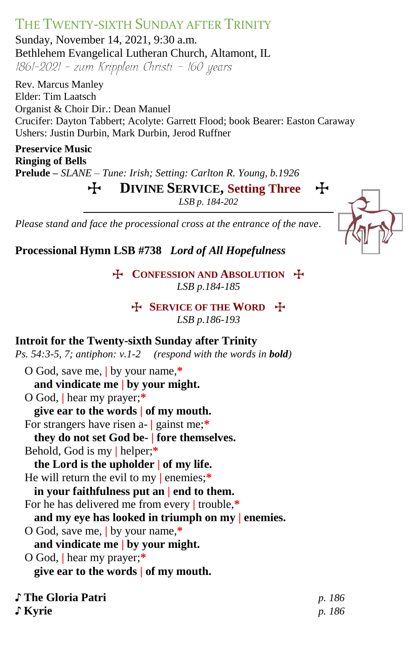# THE TWENTY-SIXTH SUNDAY AFTER TRINITY

Sunday, November 14, 2021, 9:30 a.m. Bethlehem Evangelical Lutheran Church, Altamont, IL  $1861-2021$  - zum Kripplein Christi - 160 years

Rev. Marcus Manley Elder: Tim Laatsch Organist & Choir Dir.: Dean Manuel Crucifer: Dayton Tabbert; Acolyte: Garrett Flood; book Bearer: Easton Caraway Ushers: Justin Durbin, Mark Durbin, Jerod Ruffner

**Preservice Music Ringing of Bells Prelude –** *SLANE – Tune: Irish; Setting: Carlton R. Young, b.1926*

T **DIVINE SERVICE, Setting Three** T

*LSB p. 184-202*

*Please stand and face the processional cross at the entrance of the nave.*



**Processional Hymn LSB #738** *Lord of All Hopefulness*

**T** CONFESSION AND ABSOLUTION **T** *LSB p.184-185*

**H** SERVICE OF THE WORD **H** 

*LSB p.186-193*

#### **Introit for the Twenty-sixth Sunday after Trinity**

*Ps.* 54:3-5, 7; antiphon:  $v.1-2$  (respond with the words in **bold**)

O God, save me, **|** by your name,**\* and vindicate me | by your might.** O God, **|** hear my prayer;**\* give ear to the words | of my mouth.** For strangers have risen a- **|** gainst me;**\* they do not set God be- | fore themselves.** Behold, God is my **|** helper;**\* the Lord is the upholder | of my life.** He will return the evil to my **|** enemies;**\* in your faithfulness put an | end to them.** For he has delivered me from every **|** trouble,**\* and my eye has looked in triumph on my | enemies.** O God, save me, **|** by your name,**\* and vindicate me | by your might.** O God, **|** hear my prayer;**\* give ear to the words | of my mouth.**

♪ **The Gloria Patri** *p. 186*

♪ **Kyrie** *p. 186*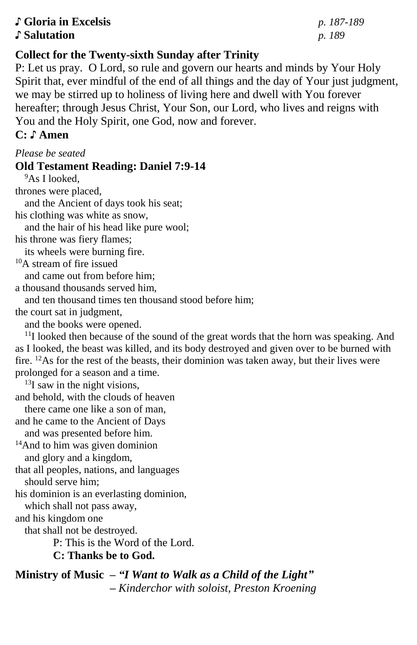#### ♪ **Gloria in Excelsis** *p. 187-189* ♪ **Salutation** *p. 189*

## **Collect for the Twenty-sixth Sunday after Trinity**

P: Let us pray. O Lord, so rule and govern our hearts and minds by Your Holy Spirit that, ever mindful of the end of all things and the day of Your just judgment, we may be stirred up to holiness of living here and dwell with You forever hereafter; through Jesus Christ, Your Son, our Lord, who lives and reigns with You and the Holy Spirit, one God, now and forever.

# **C: ♪ Amen**

#### *Please be seated*

#### **Old Testament Reading: Daniel 7:9-14**

<sup>9</sup>As I looked, thrones were placed,

and the Ancient of days took his seat;

his clothing was white as snow,

and the hair of his head like pure wool;

his throne was fiery flames;

its wheels were burning fire.

<sup>10</sup>A stream of fire issued

and came out from before him;

a thousand thousands served him,

and ten thousand times ten thousand stood before him;

the court sat in judgment,

and the books were opened.

 $11$ I looked then because of the sound of the great words that the horn was speaking. And as I looked, the beast was killed, and its body destroyed and given over to be burned with fire.  $12$ As for the rest of the beasts, their dominion was taken away, but their lives were prolonged for a season and a time.

 $^{13}$ I saw in the night visions,

and behold, with the clouds of heaven

- there came one like a son of man,
- and he came to the Ancient of Days

and was presented before him.

<sup>14</sup>And to him was given dominion and glory and a kingdom,

that all peoples, nations, and languages should serve him;

his dominion is an everlasting dominion,

which shall not pass away,

and his kingdom one

that shall not be destroyed.

P: This is the Word of the Lord.

**C: Thanks be to God.**

**Ministry of Music –** *"I Want to Walk as a Child of the Light" – Kinderchor with soloist, Preston Kroening*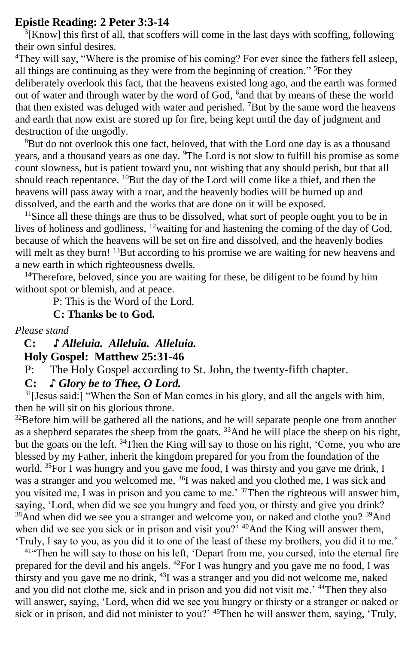#### **Epistle Reading: 2 Peter 3:3-14**

<sup>3</sup>[Know] this first of all, that scoffers will come in the last days with scoffing, following their own sinful desires.

<sup>4</sup>They will say, "Where is the promise of his coming? For ever since the fathers fell asleep, all things are continuing as they were from the beginning of creation." <sup>5</sup>For they deliberately overlook this fact, that the heavens existed long ago, and the earth was formed out of water and through water by the word of God, <sup>6</sup> and that by means of these the world that then existed was deluged with water and perished. <sup>7</sup>But by the same word the heavens and earth that now exist are stored up for fire, being kept until the day of judgment and destruction of the ungodly.

<sup>8</sup>But do not overlook this one fact, beloved, that with the Lord one day is as a thousand years, and a thousand years as one day. <sup>9</sup>The Lord is not slow to fulfill his promise as some count slowness, but is patient toward you, not wishing that any should perish, but that all should reach repentance. <sup>10</sup>But the day of the Lord will come like a thief, and then the heavens will pass away with a roar, and the heavenly bodies will be burned up and dissolved, and the earth and the works that are done on it will be exposed.

<sup>11</sup>Since all these things are thus to be dissolved, what sort of people ought you to be in lives of holiness and godliness, <sup>12</sup>waiting for and hastening the coming of the day of God, because of which the heavens will be set on fire and dissolved, and the heavenly bodies will melt as they burn! <sup>13</sup>But according to his promise we are waiting for new heavens and a new earth in which righteousness dwells.

<sup>14</sup>Therefore, beloved, since you are waiting for these, be diligent to be found by him without spot or blemish, and at peace.

P: This is the Word of the Lord.

**C: Thanks be to God.**

*Please stand*

 **C: ♪** *Alleluia. Alleluia. Alleluia.*  **Holy Gospel: Matthew 25:31-46**

P: The Holy Gospel according to St. John, the twenty-fifth chapter.

**C:** *♪ Glory be to Thee, O Lord.*

<sup>31</sup>[Jesus said:] "When the Son of Man comes in his glory, and all the angels with him, then he will sit on his glorious throne.

 $32$ Before him will be gathered all the nations, and he will separate people one from another as a shepherd separates the sheep from the goats. <sup>33</sup>And he will place the sheep on his right, but the goats on the left. <sup>34</sup>Then the King will say to those on his right, 'Come, you who are blessed by my Father, inherit the kingdom prepared for you from the foundation of the world. <sup>35</sup>For I was hungry and you gave me food, I was thirsty and you gave me drink, I was a stranger and you welcomed me, <sup>36</sup>I was naked and you clothed me, I was sick and you visited me, I was in prison and you came to me.<sup>'37</sup>Then the righteous will answer him, saying, 'Lord, when did we see you hungry and feed you, or thirsty and give you drink? <sup>38</sup>And when did we see you a stranger and welcome you, or naked and clothe you? <sup>39</sup>And when did we see you sick or in prison and visit you?<sup> $2^{40}$ </sup>And the King will answer them, 'Truly, I say to you, as you did it to one of the least of these my brothers, you did it to me.'

<sup>41"</sup>Then he will say to those on his left, 'Depart from me, you cursed, into the eternal fire prepared for the devil and his angels. <sup>42</sup>For I was hungry and you gave me no food, I was thirsty and you gave me no drink, <sup>43</sup>I was a stranger and you did not welcome me, naked and you did not clothe me, sick and in prison and you did not visit me.' <sup>44</sup>Then they also will answer, saying, 'Lord, when did we see you hungry or thirsty or a stranger or naked or sick or in prison, and did not minister to you?' <sup>45</sup>Then he will answer them, saying, 'Truly,